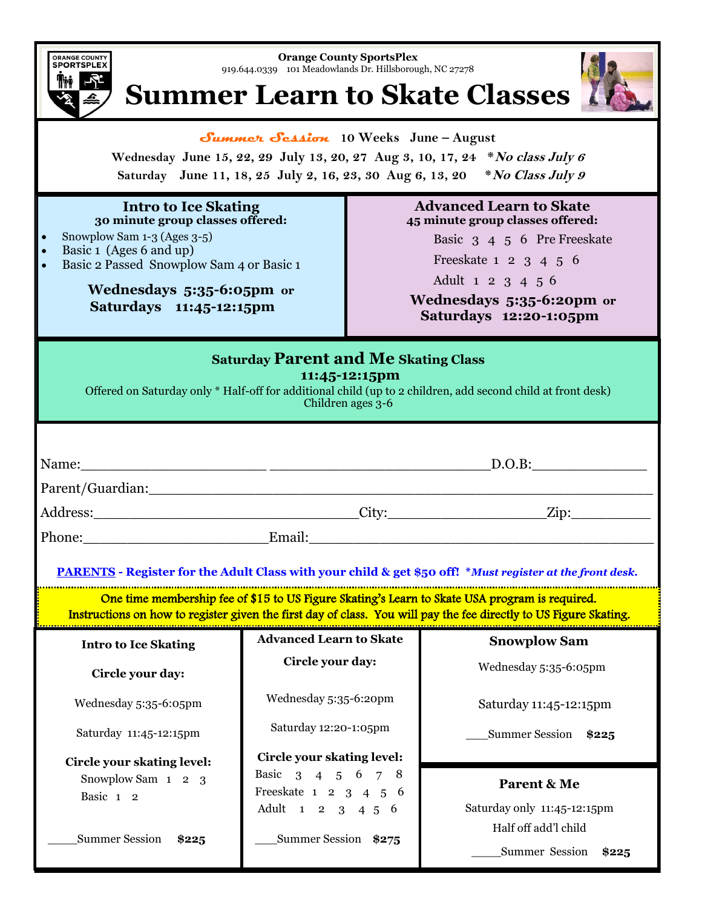

**Orange County SportsPlex**  919.644.0339 101 Meadowlands Dr. Hillsborough, NC 27278

## **Summer Learn to Skate Classes**



**Summer Session 10 Weeks June – August**

**Wednesday June 15, 22, 29 July 13, 20, 27 Aug 3, 10, 17, 24 \*No class July 6 Saturday June 11, 18, 25 July 2, 16, 23, 30 Aug 6, 13, 20 \*No Class July 9**

#### **Intro to Ice Skating 30 minute group classes offered:**

- Snowplow Sam 1-3 (Ages 3-5)
- Basic 1 (Ages 6 and up)
- Basic 2 Passed Snowplow Sam 4 or Basic 1

### **Wednesdays 5:35-6:05pm or Saturdays 11:45-12:15pm**

#### **Advanced Learn to Skate 45 minute group classes offered:**

Basic 3 4 5 6 Pre Freeskate

Freeskate 1 2 3 4 5 6

Adult 1 2 3 4 5 6

 **Wednesdays 5:35-6:20pm or Saturdays 12:20-1:05pm**

| <b>Saturday Parent and Me Skating Class</b><br>11:45-12:15pm<br>Offered on Saturday only * Half-off for additional child (up to 2 children, add second child at front desk)<br>Children ages $3-6$                             |                                            |                             |
|--------------------------------------------------------------------------------------------------------------------------------------------------------------------------------------------------------------------------------|--------------------------------------------|-----------------------------|
|                                                                                                                                                                                                                                |                                            |                             |
|                                                                                                                                                                                                                                |                                            |                             |
| Phone: Email: Email: Email: Email: Email: Email: Email: Email: Email: Email: Email: Email: Email: Email: Email: Email: Email: Email: Email: Email: Email: Email: Email: Email: Email: Email: Email: Email: Email: Email: Email |                                            |                             |
| PARENTS - Register for the Adult Class with your child & get \$50 off! * Must register at the front desk.                                                                                                                      |                                            |                             |
| One time membership fee of \$15 to US Figure Skating's Learn to Skate USA program is required.<br>Instructions on how to register given the first day of class. You will pay the fee directly to US Figure Skating.            |                                            |                             |
| <b>Intro to Ice Skating</b>                                                                                                                                                                                                    | <b>Advanced Learn to Skate</b>             | <b>Snowplow Sam</b>         |
| Circle your day:                                                                                                                                                                                                               | Circle your day:                           | Wednesday 5:35-6:05pm       |
| Wednesday 5:35-6:05pm                                                                                                                                                                                                          | Wednesday 5:35-6:20pm                      | Saturday 11:45-12:15pm      |
| Saturday 11:45-12:15pm                                                                                                                                                                                                         | Saturday 12:20-1:05pm                      | Summer Session \$225        |
| Circle your skating level:                                                                                                                                                                                                     | <b>Circle your skating level:</b>          |                             |
| Snowplow Sam 1 2 3                                                                                                                                                                                                             | Basic 3 4 5 6 7 8<br>Freeskate 1 2 3 4 5 6 | Parent & Me                 |
| Basic 1 2                                                                                                                                                                                                                      | Adult 1 2 3 4 5 6                          | Saturday only 11:45-12:15pm |
| <b>Summer Session</b><br>\$225                                                                                                                                                                                                 | Summer Session \$275                       | Half off add'l child        |
|                                                                                                                                                                                                                                |                                            | Summer Session \$225        |